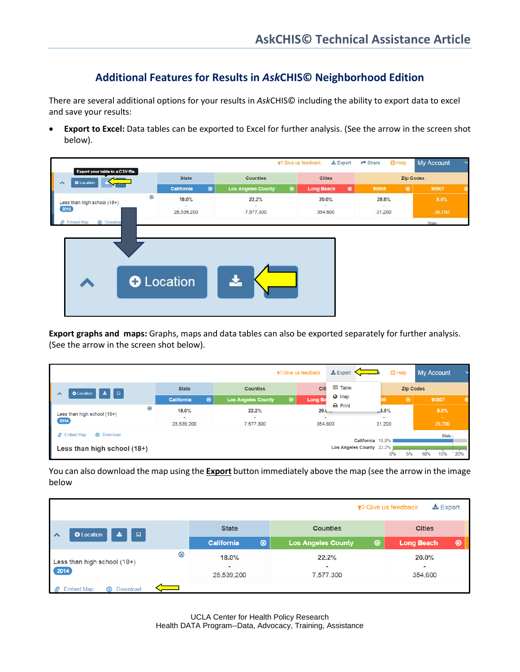## **Additional Features for Results in** *Ask***CHIS© Neighborhood Edition**

There are several additional options for your results in *Ask*CHIS© including the ability to export data to excel and save your results:

• **Export to Excel:** Data tables can be exported to Excel for further analysis. (See the arrow in the screen shot below).



**Export graphs and maps:** Graphs, maps and data tables can also be exported separately for further analysis. (See the arrow in the screen shot below).

|                                                                |                                    |                                | $\blacktriangleright$ Give us feedback | $\pm$ Export             | $①$ Help             | <b>My Account</b>        |  |  |
|----------------------------------------------------------------|------------------------------------|--------------------------------|----------------------------------------|--------------------------|----------------------|--------------------------|--|--|
| ผ<br>医<br><b>O</b> Location<br>⌒                               | <b>State</b>                       | Citi<br><b>Counties</b>        |                                        | <b>田 Table</b>           | <b>Zip Codes</b>     |                          |  |  |
|                                                                | $\circledast$<br><b>California</b> | <b>Los Angeles County</b><br>◉ | <b>Long Be</b>                         | <b>O</b> Map             | $\circledcirc$<br>06 | 90807<br>⊛               |  |  |
| $\circledast$<br>Less than high school (18+)                   | 18.0%                              | 22.2%                          | 20.1                                   | $\Theta$ Print           | $-3.8%$              | 8.0%                     |  |  |
| 2014                                                           | 28,539,200                         | <b>.</b><br>7,577,300          | 354,600                                |                          | 31,200               | <b>Section</b><br>26,700 |  |  |
| <b>Embed Map</b><br><b>4</b> Download<br>B<br>California 18.0% |                                    |                                |                                        |                          | State:               |                          |  |  |
| Less than high school (18+)                                    |                                    |                                |                                        | Los Angeles County 22.2% | 5%<br>0%             | 120%<br>15%<br>10%       |  |  |

You can also download the map using the **Export** button immediately above the map (see the arrow in the image below

| $\frac{1}{26}$ Export<br>$\blacktriangleright$ Give us feedback |                                                 |                                                |                                       |  |  |  |
|-----------------------------------------------------------------|-------------------------------------------------|------------------------------------------------|---------------------------------------|--|--|--|
| $\Box$<br>医<br><b>O</b> Location<br>$\lambda$                   | <b>State</b>                                    | <b>Counties</b>                                | <b>Cities</b>                         |  |  |  |
|                                                                 | $\circledast$<br><b>California</b>              | ◉<br><b>Los Angeles County</b>                 | $\circledcirc$<br><b>Long Beach</b>   |  |  |  |
| ⊛<br>Less than high school (18+)<br>$\left(2014\right)$         | 18.0%<br>$\overline{\phantom{a}}$<br>28,539,200 | 22.2%<br>$\overline{\phantom{a}}$<br>7,577,300 | $20.0\%$<br>$\blacksquare$<br>354,600 |  |  |  |
| <b>4</b> Download<br><b>Embed Map</b>                           |                                                 |                                                |                                       |  |  |  |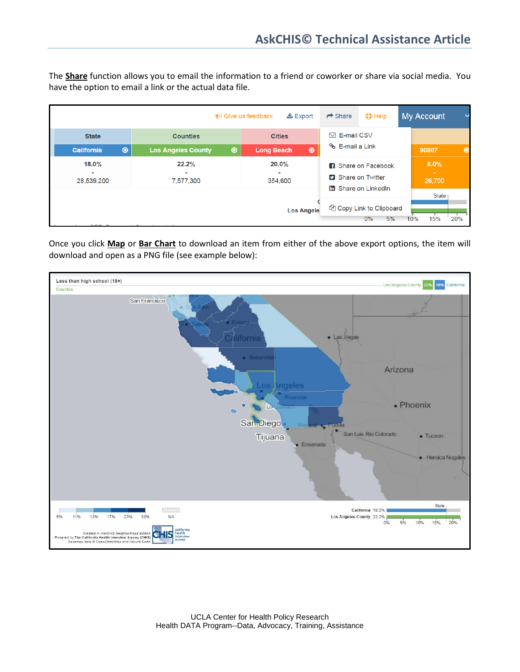The **Share** function allows you to email the information to a friend or coworker or share via social media. You have the option to email a link or the actual data file.

|                                    |                                             | $\frac{1}{26}$ Export<br>$\blacktriangleright$ Give us feedback | $\rightarrow$ Share        | $\n  D$ Help                                       | My Account       | $\check{ }$   |
|------------------------------------|---------------------------------------------|-----------------------------------------------------------------|----------------------------|----------------------------------------------------|------------------|---------------|
| <b>State</b>                       | <b>Counties</b>                             | <b>Cities</b>                                                   | $\boxdot$ E-mail CSV       |                                                    |                  |               |
| $\circledast$<br><b>California</b> | <b>Los Angeles County</b><br>$\circledcirc$ | $\odot$<br><b>Long Beach</b>                                    | % E-mail a Link            |                                                    | 90807            | $\circledast$ |
| 18.0%                              | 22.2%                                       | 20.0%                                                           | <b>R</b> Share on Facebook |                                                    | 8.0%             |               |
| ۰<br>28,539,200                    | ٠<br>7,577,300<br>354,600                   |                                                                 | <b>D</b> Share on Twitter  |                                                    | $\sim$<br>26,700 |               |
|                                    |                                             |                                                                 |                            | <b>m</b> Share on LinkedIn                         | State:           |               |
|                                    |                                             | <b>Los Angele</b>                                               |                            | <sup>他</sup> Copy Link to Clipboard<br>5%<br>$0\%$ | 15%<br>10%       | 20%           |

Once you click **Map** or **Bar Chart** to download an item from either of the above export options, the item will download and open as a PNG file (see example below):

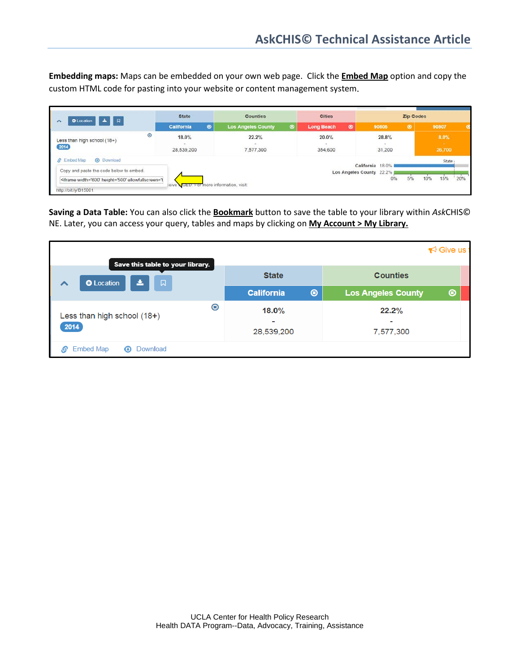**Embedding maps:** Maps can be embedded on your own web page. Click the **Embed Map** option and copy the custom HTML code for pasting into your website or content management system.

| 口<br>O Location<br>Δ.                                                                                                                                                                                                                                                                                                                                                                                                                                                             | <b>State</b>                             | <b>Counties</b>              |  | <b>Cities</b>                       |       | <b>Zip Codes</b> |           |  |                             |  |
|-----------------------------------------------------------------------------------------------------------------------------------------------------------------------------------------------------------------------------------------------------------------------------------------------------------------------------------------------------------------------------------------------------------------------------------------------------------------------------------|------------------------------------------|------------------------------|--|-------------------------------------|-------|------------------|-----------|--|-----------------------------|--|
|                                                                                                                                                                                                                                                                                                                                                                                                                                                                                   | $\circledcirc$<br><b>California</b>      | <b>Los Angeles County</b>    |  | $\circledcirc$<br><b>Long Beach</b> | 90806 |                  | $\bullet$ |  | 90807                       |  |
| $\bullet$<br>Less than high school (18+)<br>2014                                                                                                                                                                                                                                                                                                                                                                                                                                  | <b>STATISTICS</b><br>18.0%<br>28.539.200 | 22.2%<br>$\sim$<br>7,577,300 |  | 20.0%<br>354,600                    |       | 28.8%<br>31,200  |           |  | $8.0\%$<br>$\sim$<br>26,700 |  |
| <b>A</b> Download<br>$\mathcal{S}$<br>Embed Map<br>Copy and paste the code below to embed.<br><iframe 20%<="" allowfullscreen="t&lt;/td&gt;&lt;td&gt;&lt;/td&gt;&lt;td&gt;&lt;/td&gt;&lt;td&gt;&lt;/td&gt;&lt;td&gt;Los Angeles County 22.2%&lt;/td&gt;&lt;td&gt;California 18.0%&lt;/td&gt;&lt;td&gt;0%&lt;/td&gt;&lt;td&gt;5%&lt;/td&gt;&lt;td&gt;&lt;b&gt;10%&lt;/b&gt;&lt;/td&gt;&lt;td&gt;State:&lt;br&gt;15%&lt;/td&gt;&lt;td&gt;" height="500" td="" width="600"></iframe> |                                          |                              |  |                                     |       |                  |           |  |                             |  |

**Saving a Data Table:** You can also click the **Bookmark** button to save the table to your library within *Ask*CHIS© NE. Later, you can access your query, tables and maps by clicking on **My Account > My Library.**

| Save this table to your library.                        |                        | $\blacktriangleright$ Give us  |  |  |  |  |
|---------------------------------------------------------|------------------------|--------------------------------|--|--|--|--|
| 孟<br>$\Box$<br><b>O</b> Location<br>↗                   | <b>State</b>           | <b>Counties</b>                |  |  |  |  |
|                                                         | <b>California</b><br>◉ | <b>Los Angeles County</b><br>◉ |  |  |  |  |
| ◉<br>Less than high school (18+)<br>2014                | 18.0%<br>28,539,200    | 22.2%<br>7,577,300             |  |  |  |  |
| <b>Embed Map</b><br>Download<br>$\boldsymbol{\epsilon}$ |                        |                                |  |  |  |  |